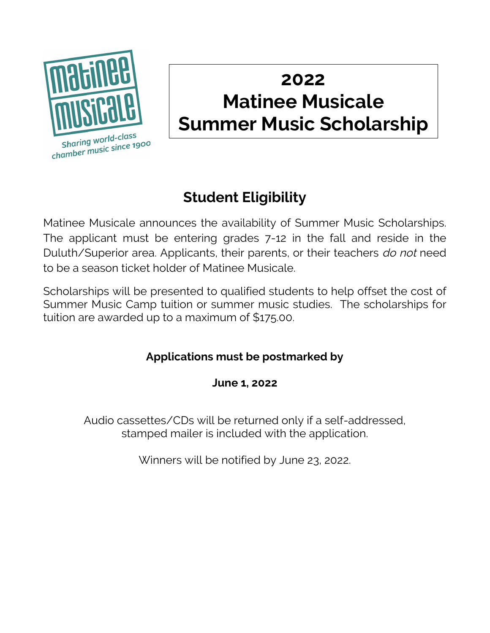

## **2022 Matinee Musicale Summer Music Scholarship**

## **Student Eligibility**

Matinee Musicale announces the availability of Summer Music Scholarships. The applicant must be entering grades 7-12 in the fall and reside in the Duluth/Superior area. Applicants, their parents, or their teachers do not need to be a season ticket holder of Matinee Musicale.

Scholarships will be presented to qualified students to help offset the cost of Summer Music Camp tuition or summer music studies. The scholarships for tuition are awarded up to a maximum of \$175.00.

## **Applications must be postmarked by**

**June 1, 2022**

Audio cassettes/CDs will be returned only if a self-addressed, stamped mailer is included with the application.

Winners will be notified by June 23, 2022.